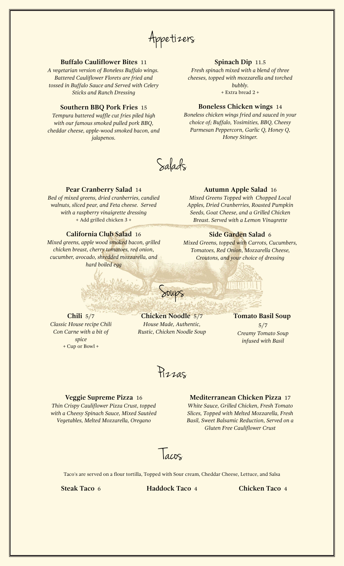Appetizers

## **Buffalo Cauliflower Bites** 11

*A vegetarian version of Boneless Buffalo wings. Battered Cauliflower Florets are fried and tossed in Buffalo Sauce and Served with Celery Sticks and Ranch Dressing*

## **Southern BBQ Pork Fries** 15

*Tempura battered waffle cut fries piled high with our famous smoked pulled pork BBQ, cheddar cheese, apple-wood smoked bacon, and jalapenos.*

# **Spinach Dip** 11.5

*Fresh spinach mixed with a blend of three cheeses, topped with mozzarella and torched bubbly.* + Extra bread 2 +

#### **Boneless Chicken wings** 14

*Boneless chicken wings fried and sauced in your choice of; Buffalo, Yosimities, BBQ, Cheesy Parmesan Peppercorn, Garlic Q, Honey Q, Honey Stinger.*

Salads

#### **Pear Cranberry Salad** 14

*Bed of mixed greens, dried cranberries, candied walnuts, sliced pear, and Feta cheese. Served with a raspberry vinaigrette dressing* + Add grilled chicken 3 +

# **California Club Salad** 16

*Mixed greens, apple wood smoked bacon, grilled chicken breast, cherry tomatoes, red onion, cucumber, avocado, shredded mozzarella, and hard boiled egg*

#### **Autumn Apple Salad** 16

*Mixed Greens Topped with Chopped Local Apples, Dried Cranberries, Roasted Pumpkin Seeds, Goat Cheese, and a Grilled Chicken Breast. Served with a Lemon Vinagrette*

#### **Side Garden Salad** 6

*Mixed Greens, topped with Carrots, Cucumbers, Tomatoes, Red Onion, Mozzarella Cheese, Croutons, and your choice of dressing*

**Chili** 5/7 *Classic House recipe Chili Con Carne with a bit of spice* + Cup or Bowl +

**Chicken Noodle** 5/7 *House Made, Authentic, Rustic, Chicken Noodle Soup*

Soups

# **Tomato Basil Soup**

5/7 *Creamy Tomato Soup infused with Basil*

Pizzas

#### **Veggie Supreme Pizza** 16

*Thin Crispy Cauliflower Pizza Crust, topped with a Cheesy Spinach Sauce, Mixed Sautéed Vegetables, Melted Mozzarella, Oregano*

**Mediterranean Chicken Pizza** 17 *White Sauce, Grilled Chicken, Fresh Tomato Slices, Topped with Melted Mozzarella, Fresh Basil, Sweet Balsamic Reduction, Served on a Gluten Free Cauliflower Crust*

Tacos

Taco's are served on a flour tortilla, Topped with Sour cream, Cheddar Cheese, Lettuce, and Salsa

**Steak Taco** 6 **Haddock Taco** 4 **Chicken Taco** 4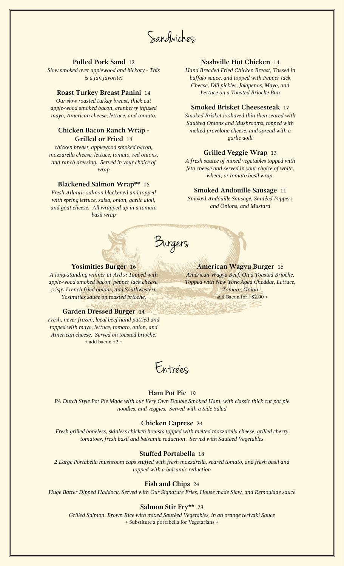Sandwiches

# **Pulled Pork Sand** 12

*Slow smoked over applewood and hickory - This is a fan favorite!*

*Our slow roasted turkey breast, thick cut apple-wood smoked bacon, cranberry infused mayo, American cheese, lettuce, and tomato.*

# **Chicken Bacon Ranch Wrap - Grilled or Fried** 14

*chicken breast, applewood smoked bacon, mozzarella cheese, lettuce, tomato, red onions, and ranch dressing. Served in your choice of wrap*

#### **Blackened Salmon Wrap\*\*** 16

*Fresh Atlantic salmon blackened and topped with spring lettuce, salsa, onion, garlic aioli, and goat cheese. All wrapped up in a tomato basil wrap*

## **Nashville Hot Chicken** 14

*Hand Breaded Fried Chicken Breast, Tossed in buffalo sauce, and topped with Pepper Jack Cheese, Dill pickles, Jalapenos, Mayo, and* **Roast Turkey Breast Panini** 14 *Lettuce on a Toasted Brioche Bun*

#### **Smoked Brisket Cheesesteak** 17

*Smoked Brisket is shaved thin then seared with Sautéed Onions and Mushrooms, topped with melted provolone cheese, and spread with a garlic aoili*

# **Grilled Veggie Wrap** 13

*A fresh sautee of mixed vegetables topped with feta cheese and served in your choice of white, wheat, or tomato basil wrap.*

#### **Smoked Andouille Sausage** 11

*Smoked Andouille Sausage, Sautéed Peppers and Onions, and Mustard*



## **Yosimities Burger** 16

*A long-standing winner at Ard's; Topped with apple-wood smoked bacon, pepper Jack cheese, crispy French fried onions, and Southwestern Yosimities sauce on toasted brioche.*

# **Garden Dressed Burger** 14

*Fresh, never frozen, local beef hand pattied and topped with mayo, lettuce, tomato, onion, and American cheese. Served on toasted brioche.* + add bacon +2 +



# **Ham Pot Pie** 19

*PA Dutch Style Pot Pie Made with our Very Own Double Smoked Ham, with classic thick cut pot pie noodles, and veggies. Served with a Side Salad*

#### **Chicken Caprese** 24

*Fresh grilled boneless, skinless chicken breasts topped with melted mozzarella cheese, grilled cherry tomatoes, fresh basil and balsamic reduction. Served with Sautéed Vegetables*

## **Stuffed Portabella** 18

*2 Large Portabella mushroom caps stuffed with fresh mozzarella, seared tomato, and fresh basil and topped with a balsamic reduction*

# **Fish and Chips** 24

*Huge Batter Dipped Haddock, Served with Our Signature Fries, House made Slaw, and Remoulade sauce*

#### **Salmon Stir Fry\*\*** 23

*Grilled Salmon. Brown Rice with mixed Sautéed Vegetables, in an orange teriyaki Sauce* + Substitute a portabella for Vegetarians +

# **American Wagyu Burger** 16

*American Wagyu Beef, On a Toasted Brioche, Topped with New York Aged Cheddar, Lettuce, Tomato, Onion* + add Bacon for +\$2.00 +